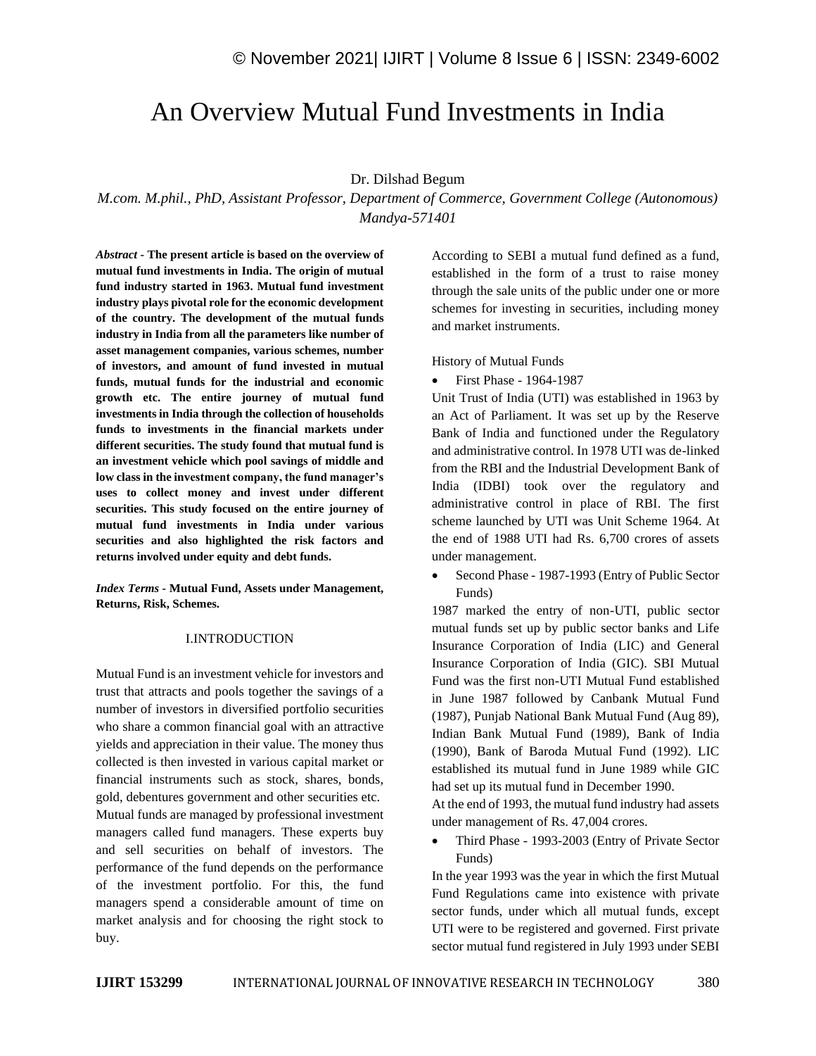# An Overview Mutual Fund Investments in India

## Dr. Dilshad Begum

*M.com. M.phil., PhD, Assistant Professor, Department of Commerce, Government College (Autonomous) Mandya-571401*

*Abstract -* **The present article is based on the overview of mutual fund investments in India. The origin of mutual fund industry started in 1963. Mutual fund investment industry plays pivotal role for the economic development of the country. The development of the mutual funds industry in India from all the parameters like number of asset management companies, various schemes, number of investors, and amount of fund invested in mutual funds, mutual funds for the industrial and economic growth etc. The entire journey of mutual fund investments in India through the collection of households funds to investments in the financial markets under different securities. The study found that mutual fund is an investment vehicle which pool savings of middle and low class in the investment company, the fund manager's uses to collect money and invest under different securities. This study focused on the entire journey of mutual fund investments in India under various securities and also highlighted the risk factors and returns involved under equity and debt funds.**

*Index Terms -* **Mutual Fund, Assets under Management, Returns, Risk, Schemes.**

### I.INTRODUCTION

Mutual Fund is an investment vehicle for investors and trust that attracts and pools together the savings of a number of investors in diversified portfolio securities who share a common financial goal with an attractive yields and appreciation in their value. The money thus collected is then invested in various capital market or financial instruments such as stock, shares, bonds, gold, debentures government and other securities etc. Mutual funds are managed by professional investment managers called fund managers. These experts buy and sell securities on behalf of investors. The performance of the fund depends on the performance of the investment portfolio. For this, the fund managers spend a considerable amount of time on market analysis and for choosing the right stock to buy.

According to SEBI a mutual fund defined as a fund, established in the form of a trust to raise money through the sale units of the public under one or more schemes for investing in securities, including money and market instruments.

History of Mutual Funds

• First Phase - 1964-1987

Unit Trust of India (UTI) was established in 1963 by an Act of Parliament. It was set up by the Reserve Bank of India and functioned under the Regulatory and administrative control. In 1978 UTI was de-linked from the RBI and the Industrial Development Bank of India (IDBI) took over the regulatory and administrative control in place of RBI. The first scheme launched by UTI was Unit Scheme 1964. At the end of 1988 UTI had Rs. 6,700 crores of assets under management.

• Second Phase - 1987-1993 (Entry of Public Sector Funds)

1987 marked the entry of non-UTI, public sector mutual funds set up by public sector banks and Life Insurance Corporation of India (LIC) and General Insurance Corporation of India (GIC). SBI Mutual Fund was the first non-UTI Mutual Fund established in June 1987 followed by Canbank Mutual Fund (1987), Punjab National Bank Mutual Fund (Aug 89), Indian Bank Mutual Fund (1989), Bank of India (1990), Bank of Baroda Mutual Fund (1992). LIC established its mutual fund in June 1989 while GIC had set up its mutual fund in December 1990.

At the end of 1993, the mutual fund industry had assets under management of Rs. 47,004 crores.

• Third Phase - 1993-2003 (Entry of Private Sector Funds)

In the year 1993 was the year in which the first Mutual Fund Regulations came into existence with private sector funds, under which all mutual funds, except UTI were to be registered and governed. First private sector mutual fund registered in July 1993 under SEBI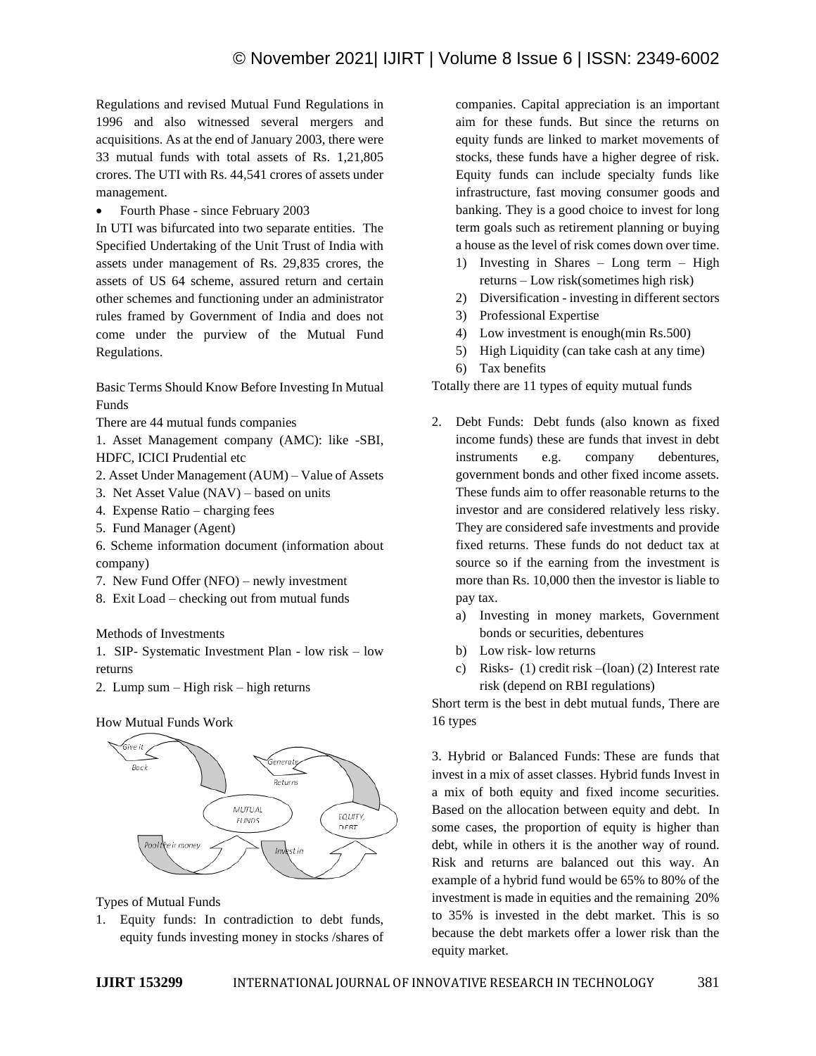Regulations and revised Mutual Fund Regulations in 1996 and also witnessed several mergers and acquisitions. As at the end of January 2003, there were 33 mutual funds with total assets of Rs. 1,21,805 crores. The UTI with Rs. 44,541 crores of assets under management.

• Fourth Phase - since February 2003

In UTI was bifurcated into two separate entities. The Specified Undertaking of the Unit Trust of India with assets under management of Rs. 29,835 crores, the assets of US 64 scheme, assured return and certain other schemes and functioning under an administrator rules framed by Government of India and does not come under the purview of the Mutual Fund Regulations.

Basic Terms Should Know Before Investing In Mutual Funds

There are 44 mutual funds companies

1. Asset Management company (AMC): like -SBI, HDFC, ICICI Prudential etc

- 2. Asset Under Management (AUM) Value of Assets
- 3. Net Asset Value (NAV) based on units
- 4. Expense Ratio charging fees
- 5. Fund Manager (Agent)
- 6. Scheme information document (information about company)
- 7. New Fund Offer (NFO) newly investment
- 8. Exit Load checking out from mutual funds

Methods of Investments

1. SIP- Systematic Investment Plan - low risk – low returns

2. Lump sum – High risk – high returns

#### How Mutual Funds Work



Types of Mutual Funds

1. Equity funds: In contradiction to debt funds, equity funds investing money in stocks /shares of companies. Capital appreciation is an important aim for these funds. But since the returns on equity funds are linked to market movements of stocks, these funds have a higher degree of risk. Equity funds can include specialty funds like infrastructure, fast moving consumer goods and banking. They is a good choice to invest for long term goals such as retirement planning or buying a house as the level of risk comes down over time.

- 1) Investing in Shares Long term High returns – Low risk(sometimes high risk)
- 2) Diversification investing in different sectors
- 3) Professional Expertise
- 4) Low investment is enough(min Rs.500)
- 5) High Liquidity (can take cash at any time)
- 6) Tax benefits

Totally there are 11 types of equity mutual funds

- 2. Debt Funds: Debt funds (also known as fixed income funds) these are funds that invest in debt instruments e.g. company debentures, government bonds and other fixed income assets. These funds aim to offer reasonable returns to the investor and are considered relatively less risky. They are considered safe investments and provide fixed returns. These funds do not deduct tax at source so if the earning from the investment is more than Rs. 10,000 then the investor is liable to pay tax.
	- a) Investing in money markets, Government bonds or securities, debentures
	- b) Low risk- low returns
	- c) Risks- (1) credit risk –(loan) (2) Interest rate risk (depend on RBI regulations)

Short term is the best in debt mutual funds, There are 16 types

3. Hybrid or Balanced Funds: These are funds that invest in a mix of asset classes. Hybrid funds Invest in a mix of both equity and fixed income securities. Based on the allocation between equity and debt. In some cases, the proportion of equity is higher than debt, while in others it is the another way of round. Risk and returns are balanced out this way. An example of a hybrid fund would be 65% to 80% of the investment is made in equities and the remaining 20% to 35% is invested in the debt market. This is so because the debt markets offer a lower risk than the equity market.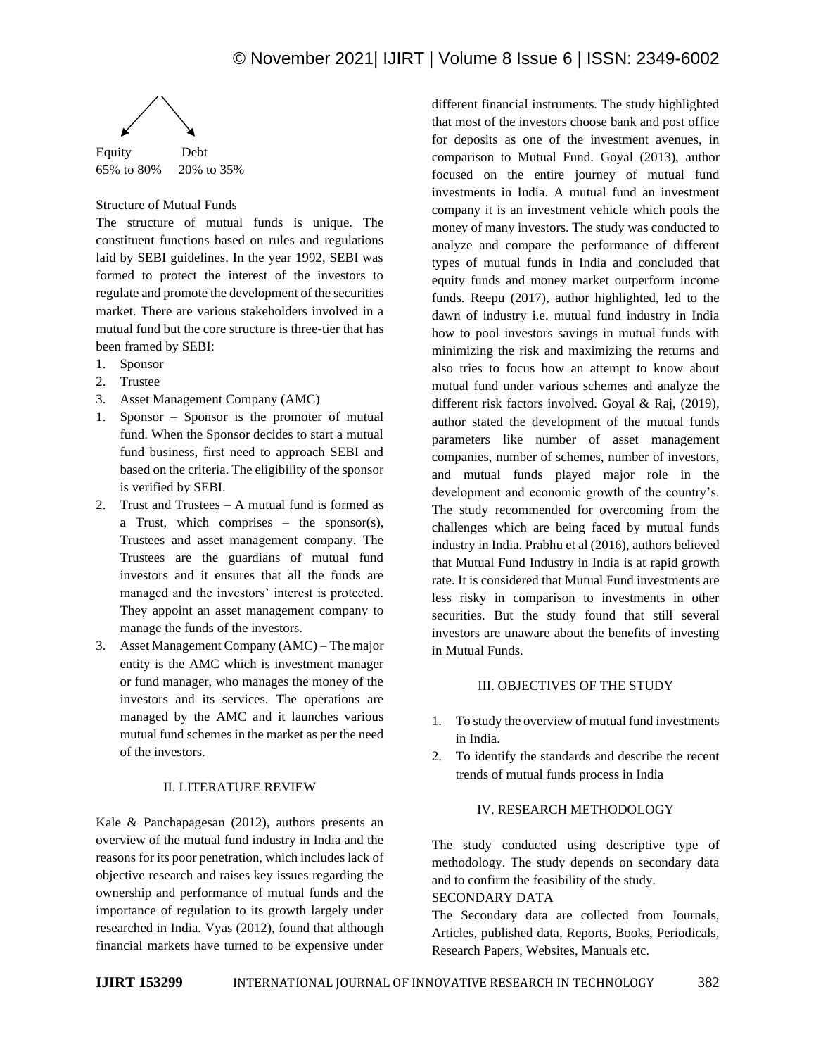

65% to 80% 20% to 35%

### Structure of Mutual Funds

The structure of mutual funds is unique. The constituent functions based on rules and regulations laid by SEBI guidelines. In the year 1992, SEBI was formed to protect the interest of the investors to regulate and promote the development of the securities market. There are various stakeholders involved in a mutual fund but the core structure is three-tier that has been framed by SEBI:

- 1. Sponsor
- 2. Trustee
- 3. Asset Management Company (AMC)
- 1. Sponsor Sponsor is the promoter of mutual fund. When the Sponsor decides to start a mutual fund business, first need to approach SEBI and based on the criteria. The eligibility of the sponsor is verified by SEBI.
- 2. Trust and Trustees A mutual fund is formed as a Trust, which comprises – the sponsor(s), Trustees and asset management company. The Trustees are the guardians of mutual fund investors and it ensures that all the funds are managed and the investors' interest is protected. They appoint an asset management company to manage the funds of the investors.
- 3. Asset Management Company (AMC) The major entity is the AMC which is investment manager or fund manager, who manages the money of the investors and its services. The operations are managed by the AMC and it launches various mutual fund schemes in the market as per the need of the investors.

#### II. LITERATURE REVIEW

Kale & Panchapagesan (2012), authors presents an overview of the mutual fund industry in India and the reasons for its poor penetration, which includes lack of objective research and raises key issues regarding the ownership and performance of mutual funds and the importance of regulation to its growth largely under researched in India. Vyas (2012), found that although financial markets have turned to be expensive under different financial instruments. The study highlighted that most of the investors choose bank and post office for deposits as one of the investment avenues, in comparison to Mutual Fund. Goyal (2013), author focused on the entire journey of mutual fund investments in India. A mutual fund an investment company it is an investment vehicle which pools the money of many investors. The study was conducted to analyze and compare the performance of different types of mutual funds in India and concluded that equity funds and money market outperform income funds. Reepu (2017), author highlighted, led to the dawn of industry i.e. mutual fund industry in India how to pool investors savings in mutual funds with minimizing the risk and maximizing the returns and also tries to focus how an attempt to know about mutual fund under various schemes and analyze the different risk factors involved. Goyal & Raj, (2019), author stated the development of the mutual funds parameters like number of asset management companies, number of schemes, number of investors, and mutual funds played major role in the development and economic growth of the country's. The study recommended for overcoming from the challenges which are being faced by mutual funds industry in India. Prabhu et al (2016), authors believed that Mutual Fund Industry in India is at rapid growth rate. It is considered that Mutual Fund investments are less risky in comparison to investments in other securities. But the study found that still several investors are unaware about the benefits of investing in Mutual Funds.

#### III. OBJECTIVES OF THE STUDY

- 1. To study the overview of mutual fund investments in India.
- 2. To identify the standards and describe the recent trends of mutual funds process in India

#### IV. RESEARCH METHODOLOGY

The study conducted using descriptive type of methodology. The study depends on secondary data and to confirm the feasibility of the study. SECONDARY DATA

The Secondary data are collected from Journals, Articles, published data, Reports, Books, Periodicals, Research Papers, Websites, Manuals etc.